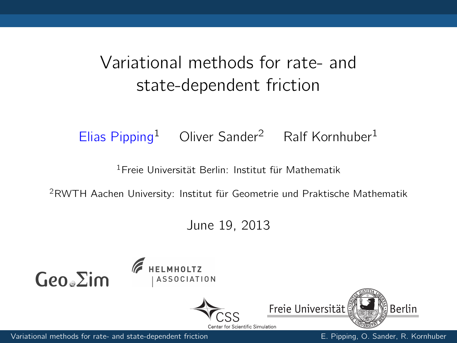## Variational methods for rate- and state-dependent friction

#### Elias Pipping<sup>1</sup> Oliver Sander<sup>2</sup> Ralf Kornhuber<sup>1</sup>

<sup>1</sup>Freie Universität Berlin: Institut für Mathematik

<sup>2</sup>RWTH Aachen University: Institut für Geometrie und Praktische Mathematik

June 19, 2013









<span id="page-0-0"></span>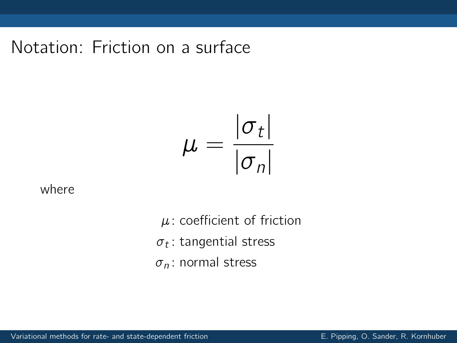Notation: Friction on a surface

$$
\mu = \frac{|\sigma_t|}{|\sigma_n|}
$$

where

 $\mu$ : coefficient of friction  ${\sigma}_t$ : tangential stress  $\sigma_n$ : normal stress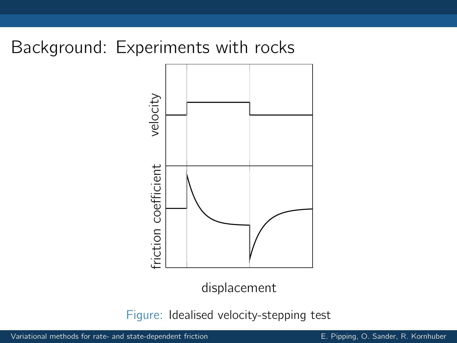## Background: Experiments with rocks



displacement

Figure: Idealised velocity-stepping test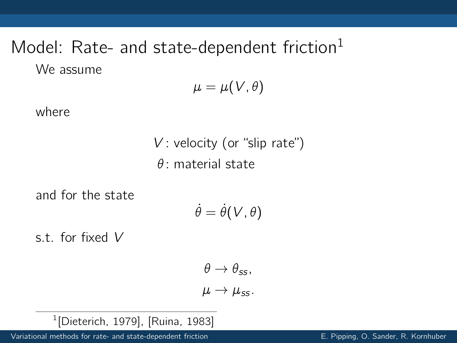# Model: Rate- and state-dependent friction $<sup>1</sup>$ </sup> We assume

$$
\mu=\mu(\mathcal V,\theta)
$$

where

 $V$ : velocity (or "slip rate")  $\theta$  · material state

and for the state

$$
\dot{\theta} = \dot{\theta}(V, \theta)
$$

s.t. for fixed V

$$
\theta \to \theta_{ss},
$$
  

$$
\mu \to \mu_{ss}.
$$

1 [\[Dieterich, 1979\]](#page-11-1), [\[Ruina, 1983\]](#page-11-2)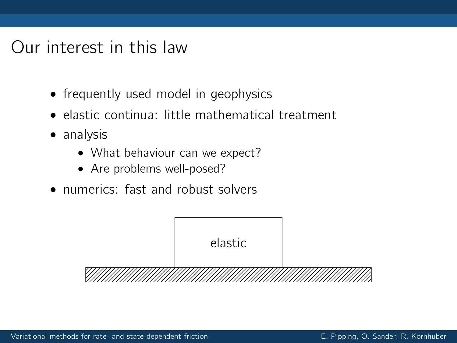#### Our interest in this law

- frequently used model in geophysics
- elastic continua: little mathematical treatment
- analysis
	- What behaviour can we expect?
	- Are problems well-posed?
- numerics: fast and robust solvers

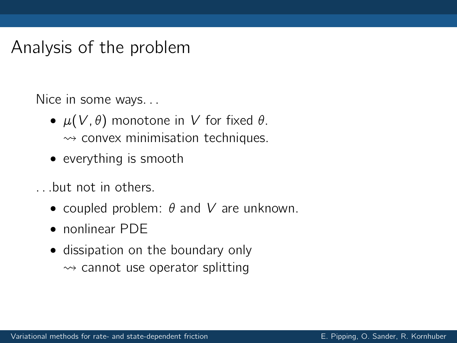#### Analysis of the problem

Nice in some ways. . .

- $\mu(V, \theta)$  monotone in V for fixed  $\theta$ .  $\rightsquigarrow$  convex minimisation techniques.
- everything is smooth
- . . .but not in others.
	- coupled problem:  $\theta$  and  $V$  are unknown.
	- nonlinear PDE
	- dissipation on the boundary only  $\rightsquigarrow$  cannot use operator splitting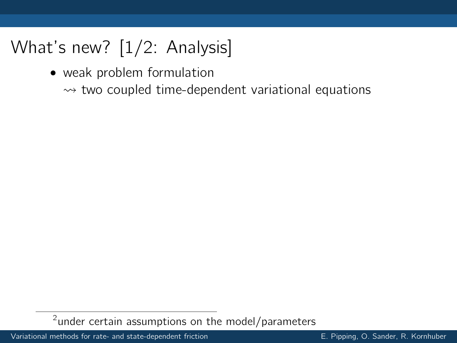• weak problem formulation

 $\rightarrow$  two coupled time-dependent variational equations

 $2$ under certain assumptions on the model/parameters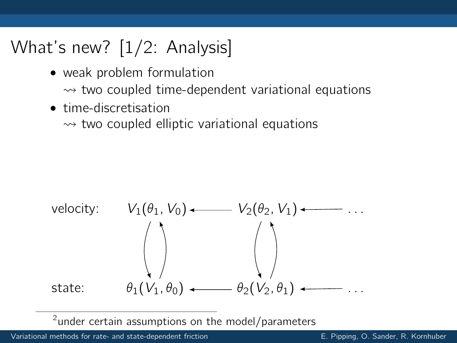- weak problem formulation
	- $\rightsquigarrow$  two coupled time-dependent variational equations
- time-discretisation

 $\rightarrow$  two coupled elliptic variational equations



 $2$ under certain assumptions on the model/parameters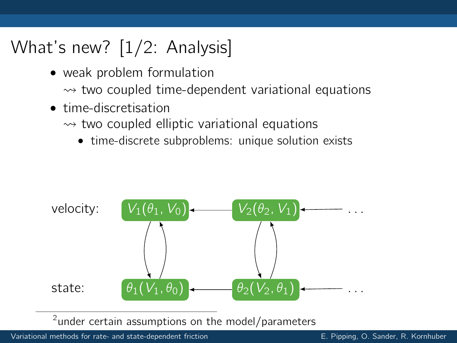- weak problem formulation
	- $\rightsquigarrow$  two coupled time-dependent variational equations
- time-discretisation
	- $\rightarrow$  two coupled elliptic variational equations
		- time-discrete subproblems: unique solution exists



 $2$ under certain assumptions on the model/parameters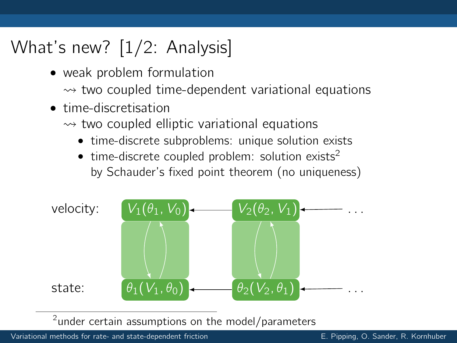- weak problem formulation
	- $\rightsquigarrow$  two coupled time-dependent variational equations
- time-discretisation
	- $\rightarrow$  two coupled elliptic variational equations
		- time-discrete subproblems: unique solution exists
		- time-discrete coupled problem: solution exists<sup>2</sup> by Schauder's fixed point theorem (no uniqueness)



 $2$ under certain assumptions on the model/parameters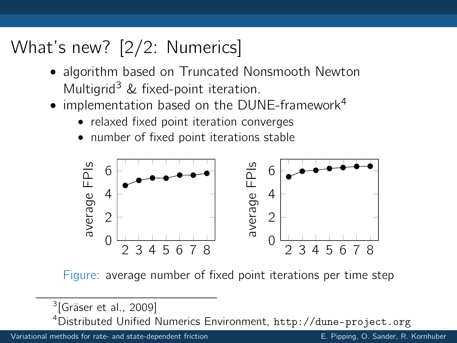# What's new? [2/2: Numerics]

- algorithm based on Truncated Nonsmooth Newton Multigrid<sup>3</sup> & fixed-point iteration.
- implementation based on the DUNE-framework<sup>4</sup>
	- relaxed fixed point iteration converges
	- number of fixed point iterations stable



Figure: average number of fixed point iterations per time step

<sup>4</sup>Distributed Unified Numerics Environment, <http://dune-project.org>

<sup>&</sup>lt;sup>3</sup>[\[Gräser et al., 2009\]](#page-11-3)